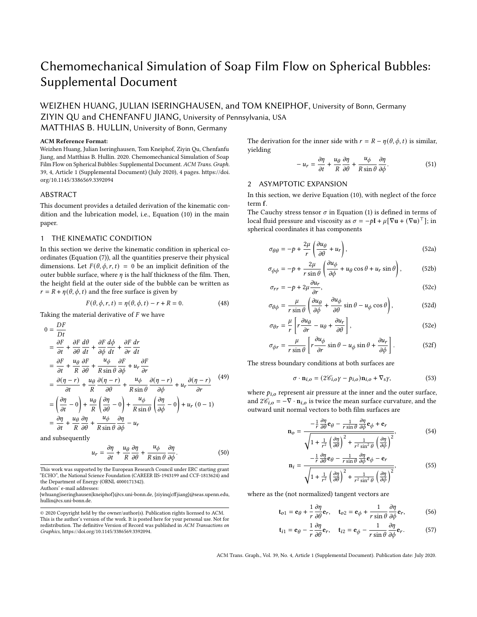# Chemomechanical Simulation of Soap Film Flow on Spherical Bubbles: Supplemental Document

WEIZHEN HUANG, JULIAN ISERINGHAUSEN, and TOM KNEIPHOF, University of Bonn, Germany ZIYIN QU and CHENFANFU JIANG, University of Pennsylvania, USA

# MATTHIAS B. HULLIN, University of Bonn, Germany

#### ACM Reference Format:

Weizhen Huang, Julian Iseringhausen, Tom Kneiphof, Ziyin Qu, Chenfanfu Jiang, and Matthias B. Hullin. 2020. Chemomechanical Simulation of Soap Film Flow on Spherical Bubbles: Supplemental Document. ACM Trans. Graph. 39, 4, Article 1 (Supplemental Document) (July 2020), [4](#page-3-0) pages. [https://doi.](https://doi.org/10.1145/3386569.3392094) [org/10.1145/3386569.3392094](https://doi.org/10.1145/3386569.3392094)

#### ABSTRACT

This document provides a detailed derivation of the kinematic condition and the lubrication model, i.e., Equation (10) in the main paper.

### <span id="page-0-0"></span>1 THE KINEMATIC CONDITION

In this section we derive the kinematic condition in spherical coordinates (Equation (7)), all the quantities preserve their physical dimensions. Let  $F(\theta, \phi, r, t) = 0$  be an implicit definition of the outer bubble surface, where  $\eta$  is the half thickness of the film. Then, the height field at the outer side of the bubble can be written as  $r = R + \eta(\theta, \phi, t)$  and the free surface is given by

$$
F(\theta, \phi, r, t) = \eta(\theta, \phi, t) - r + R = 0.
$$
 (48)

Taking the material derivative of  $F$  we have

$$
0 = \frac{DF}{Dt}
$$
  
\n
$$
= \frac{\partial F}{\partial t} + \frac{\partial F}{\partial \theta} \frac{d\theta}{dt} + \frac{\partial F}{\partial \phi} \frac{d\phi}{dt} + \frac{\partial F}{\partial r} \frac{dr}{dt}
$$
  
\n
$$
= \frac{\partial F}{\partial t} + \frac{u_{\theta}}{R} \frac{\partial F}{\partial \theta} + \frac{u_{\phi}}{R \sin \theta} \frac{\partial F}{\partial \phi} + u_r \frac{\partial F}{\partial r}
$$
  
\n
$$
= \frac{\partial (\eta - r)}{\partial t} + \frac{u_{\theta}}{R} \frac{\partial (\eta - r)}{\partial \theta} + \frac{u_{\phi}}{R \sin \theta} \frac{\partial (\eta - r)}{\partial \phi} + u_r \frac{\partial (\eta - r)}{\partial r}
$$
  
\n
$$
= \left(\frac{\partial \eta}{\partial t} - 0\right) + \frac{u_{\theta}}{R} \left(\frac{\partial \eta}{\partial \theta} - 0\right) + \frac{u_{\phi}}{R \sin \theta} \left(\frac{\partial \eta}{\partial \phi} - 0\right) + u_r (0 - 1)
$$
  
\n
$$
= \frac{\partial \eta}{\partial t} + \frac{u_{\theta}}{R} \frac{\partial \eta}{\partial \theta} + \frac{u_{\phi}}{R \sin \theta} \frac{\partial \eta}{\partial \phi} - u_r
$$

and subsequently

$$
u_r = \frac{\partial \eta}{\partial t} + \frac{u_\theta}{R} \frac{\partial \eta}{\partial \theta} + \frac{u_\phi}{R \sin \theta} \frac{\partial \eta}{\partial \phi}.
$$
 (50)

This work was supported by the European Research Council under ERC starting grant "ECHO", the National Science Foundation (CAREER IIS-1943199 and CCF-1813624) and the Department of Energy (ORNL 4000171342).

Authors' e-mail addresses:

{whuang|iseringhausen|kneiphof}@cs.uni-bonn.de, {ziyinq|cffjiang}@seas.upenn.edu, hullin@cs.uni-bonn.de.

The derivation for the inner side with  $r = R - \eta(\theta, \phi, t)$  is similar, yielding

<span id="page-0-1"></span>
$$
-u_r = \frac{\partial \eta}{\partial t} + \frac{u_\theta}{R} \frac{\partial \eta}{\partial \theta} + \frac{u_\phi}{R \sin \theta} \frac{\partial \eta}{\partial \phi}.
$$
 (51)

#### 2 ASYMPTOTIC EXPANSION

In this section, we derive Equation (10), with neglect of the force term f.

The Cauchy stress tensor  $\sigma$  in Equation (1) is defined in terms of local fluid pressure and viscosity as  $\sigma = -p\mathbf{I} + \mu [\nabla \mathbf{u} + (\nabla \mathbf{u})^\top]$ ; in spherical coordinates it has components

$$
\sigma_{\theta\theta} = -p + \frac{2\mu}{r} \left( \frac{\partial u_{\theta}}{\partial \theta} + u_r \right),\tag{52a}
$$

$$
\sigma_{\phi\phi} = -p + \frac{2\mu}{r\sin\theta} \left( \frac{\partial u_{\phi}}{\partial \phi} + u_{\theta}\cos\theta + u_{r}\sin\theta \right),
$$
 (52b)

$$
\sigma_{rr} = -p + 2\mu \frac{\partial u_r}{\partial r},\tag{52c}
$$

$$
\sigma_{\theta\phi} = \frac{\mu}{r\sin\theta} \left( \frac{\partial u_{\theta}}{\partial \phi} + \frac{\partial u_{\phi}}{\partial \theta} \sin\theta - u_{\phi} \cos\theta \right),
$$
 (52d)

$$
\sigma_{\theta r} = \frac{\mu}{r} \left[ r \frac{\partial u_{\theta}}{\partial r} - u_{\theta} + \frac{\partial u_{r}}{\partial \theta} \right],
$$
\n(52e)

$$
\sigma_{\phi r} = \frac{\mu}{r \sin \theta} \left[ r \frac{\partial u_{\phi}}{\partial r} \sin \theta - u_{\phi} \sin \theta + \frac{\partial u_{r}}{\partial \phi} \right].
$$
 (52f)

The stress boundary conditions at both surfaces are

$$
\sigma \cdot \mathbf{n}_{i,o} = (2\mathscr{C}_{i,o}\gamma - p_{i,o})\mathbf{n}_{i,o} + \nabla_s \gamma,
$$
\n(53)

where  $p_{i,o}$  represent air pressure at the inner and the outer surface, and  $2\mathcal{C}_{i,o} = -\nabla \cdot \mathbf{n}_{i,o}$  is twice the mean surface curvature, and the outward unit normal vectors to both film surfaces are

$$
\mathbf{n}_{o} = \frac{-\frac{1}{r} \frac{\partial \eta}{\partial \theta} \mathbf{e}_{\theta} - \frac{1}{r \sin \theta} \frac{\partial \eta}{\partial \phi} \mathbf{e}_{\phi} + \mathbf{e}_{r}}{\sqrt{1 + \frac{1}{r^{2}} \left(\frac{\partial \eta}{\partial \theta}\right)^{2} + \frac{1}{r^{2} \sin^{2} \theta} \left(\frac{\partial \eta}{\partial \phi}\right)^{2}}},
$$
(54)

$$
\mathbf{n}_{i} = \frac{-\frac{1}{r} \frac{\partial \eta}{\partial \theta} \mathbf{e}_{\theta} - \frac{1}{r \sin \theta} \frac{\partial \eta}{\partial \phi} \mathbf{e}_{\phi} - \mathbf{e}_{r}}{\sqrt{1 + \frac{1}{r^{2}} \left(\frac{\partial \eta}{\partial \theta}\right)^{2} + \frac{1}{r^{2} \sin^{2} \theta} \left(\frac{\partial \eta}{\partial \phi}\right)^{2}}},
$$
(55)

where as the (not normalized) tangent vectors are

$$
\mathbf{t}_{o1} = \mathbf{e}_{\theta} + \frac{1}{r} \frac{\partial \eta}{\partial \theta} \mathbf{e}_r, \quad \mathbf{t}_{o2} = \mathbf{e}_{\phi} + \frac{1}{r \sin \theta} \frac{\partial \eta}{\partial \phi} \mathbf{e}_r,
$$
 (56)

$$
\mathbf{t}_{i1} = \mathbf{e}_{\theta} - \frac{1}{r} \frac{\partial \eta}{\partial \theta} \mathbf{e}_r, \quad \mathbf{t}_{i2} = \mathbf{e}_{\phi} - \frac{1}{r \sin \theta} \frac{\partial \eta}{\partial \phi} \mathbf{e}_r.
$$
 (57)

<sup>©</sup> 2020 Copyright held by the owner/author(s). Publication rights licensed to ACM. This is the author's version of the work. It is posted here for your personal use. Not for redistribution. The definitive Version of Record was published in ACM Transactions on Graphics, [https://doi.org/10.1145/3386569.3392094.](https://doi.org/10.1145/3386569.3392094)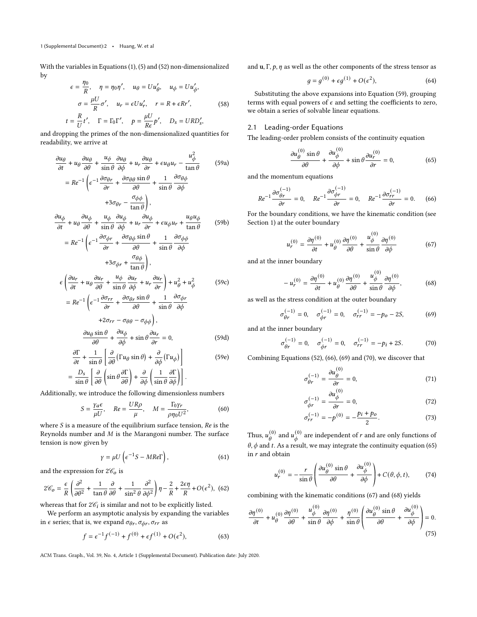With the variables in Equations (1), (5) and (52) non-dimensionalized by

$$
\epsilon = \frac{\eta_0}{R}, \quad \eta = \eta_0 \eta', \quad u_\theta = U u'_\theta, \quad u_\phi = U u'_\phi,
$$

$$
\sigma = \frac{\mu U}{R} \sigma', \quad u_r = \epsilon U u'_r, \quad r = R + \epsilon R r', \quad (58)
$$

$$
t = \frac{R}{U} t', \quad \Gamma = \Gamma_0 \Gamma', \quad p = \frac{\mu U}{R \epsilon} p', \quad D_s = U R D'_s,
$$

and dropping the primes of the non-dimensionalized quantities for readability, we arrive at

<span id="page-1-0"></span>
$$
\frac{\partial u_{\theta}}{\partial t} + u_{\theta} \frac{\partial u_{\theta}}{\partial \theta} + \frac{u_{\phi}}{\sin \theta} \frac{\partial u_{\theta}}{\partial \phi} + u_{r} \frac{\partial u_{\theta}}{\partial r} + \epsilon u_{\theta} u_{r} - \frac{u_{\phi}^{2}}{\tan \theta}
$$
(59a)  
\n
$$
= Re^{-1} \left( \epsilon^{-1} \frac{\partial \sigma_{\theta r}}{\partial r} + \frac{\partial \sigma_{\theta \theta}}{\partial \theta} \frac{\sin \theta}{r} + \frac{1}{\sin \theta} \frac{\partial \sigma_{\theta \phi}}{\partial \phi} + 3 \sigma_{\theta r} - \frac{\sigma_{\phi \phi}}{\tan \theta} \right),
$$
  
\n
$$
\frac{\partial u_{\phi}}{\partial t} + u_{\theta} \frac{\partial u_{\phi}}{\partial \theta} + \frac{u_{\phi}}{\sin \theta} \frac{\partial u_{\phi}}{\partial \phi} + u_{r} \frac{\partial u_{\phi}}{\partial r} + \epsilon u_{\phi} u_{r} + \frac{u_{\theta} u_{\phi}}{\tan \theta}
$$
(59b)  
\n
$$
= Re^{-1} \left( \epsilon^{-1} \frac{\partial \sigma_{\phi r}}{\partial r} + \frac{\partial \sigma_{\theta \phi}}{\partial \theta} \frac{\sin \theta}{r} + \frac{1}{\sin \theta} \frac{\partial \sigma_{\phi \phi}}{\partial \phi}
$$
  
\n
$$
+ 3 \sigma_{\phi r} + \frac{\sigma_{\theta \phi}}{\tan \theta} \right),
$$
  
\n
$$
\epsilon \left( \frac{\partial u_{r}}{\partial t} + u_{\theta} \frac{\partial u_{r}}{\partial \theta} + \frac{u_{\phi}}{\sin \theta} \frac{\partial u_{r}}{\partial \phi} + u_{r} \frac{\partial u_{r}}{\partial r} \right) + u_{\theta}^{2} + u_{\phi}^{2}
$$
(59c)  
\n
$$
= Re^{-1} \left( \epsilon^{-1} \frac{\partial \sigma_{rr}}{\partial r} + \frac{\partial \sigma_{\theta r}}{\partial \theta} \frac{\sin \theta}{r} + \frac{1}{\sin \theta} \frac{\partial \sigma_{\phi r}}{\partial \phi}
$$
  
\n
$$
+ 2 \sigma_{rr} - \sigma_{\theta \theta} - \sigma_{\phi \phi} \right),
$$

$$
\frac{\partial u_{\theta} \sin \theta}{\partial \theta} + \frac{\partial u_{\phi}}{\partial \phi} + \sin \theta \frac{\partial u_r}{\partial r} = 0,
$$
 (59d)

$$
\frac{\partial \Gamma}{\partial t} + \frac{1}{\sin \theta} \left[ \frac{\partial}{\partial \theta} (\Gamma u_{\theta} \sin \theta) + \frac{\partial}{\partial \phi} (\Gamma u_{\phi}) \right]
$$
\n
$$
D_{s} \left[ \frac{\partial}{\partial \phi} \left( \frac{1}{\sin \theta} \frac{\partial \Gamma}{\partial \phi} \right) + \frac{\partial}{\partial \phi} \left( \frac{1}{\sin \theta} \frac{\partial \Gamma}{\partial \phi} \right) \right]
$$
\n(59e)

$$
= \frac{D_s}{\sin \theta} \left[ \frac{\partial}{\partial \theta} \left( \sin \theta \frac{\partial \Gamma}{\partial \theta} \right) + \frac{\partial}{\partial \phi} \left( \frac{1}{\sin \theta} \frac{\partial \Gamma}{\partial \phi} \right) \right].
$$

Additionally, we introduce the following dimensionless numbers

$$
S = \frac{\gamma_a \epsilon}{\mu U}, \quad Re = \frac{UR\rho}{\mu}, \quad M = \frac{\Gamma_0 \gamma_r}{\rho \eta_0 U^2},
$$
 (60)

where  $S$  is a measure of the equilibrium surface tension,  $Re$  is the Reynolds number and  $M$  is the Marangoni number. The surface tension is now given by

$$
\gamma = \mu U \left( \epsilon^{-1} S - M Re \Gamma \right), \tag{61}
$$

and the expression for  $2\mathcal{C}_0$  is

$$
2\mathcal{C}_o = \frac{\epsilon}{R}\left(\frac{\partial^2}{\partial \theta^2} + \frac{1}{\tan \theta}\frac{\partial}{\partial \theta} + \frac{1}{\sin^2 \theta}\frac{\partial^2}{\partial \phi^2}\right)\eta - \frac{2}{R} + \frac{2\epsilon \eta}{R} + O(\epsilon^2),
$$
 (62)

whereas that for  $2\mathcal{C}_i$  is similar and not to be explicitly listed.

We perform an asymptotic analysis by expanding the variables in  $\epsilon$  series; that is, we expand  $\sigma_{\theta r}, \sigma_{\phi r}, \sigma_{rr}$  as

$$
f = \epsilon^{-1} f^{(-1)} + f^{(0)} + \epsilon f^{(1)} + O(\epsilon^2),
$$
 (63)

and  $\mathbf{u}, \Gamma, p, \eta$  as well as the other components of the stress tensor as

$$
g = g^{(0)} + \epsilon g^{(1)} + O(\epsilon^2),\tag{64}
$$

Substituting the above expansions into Equation [\(59\)](#page-1-0), grouping terms with equal powers of  $\epsilon$  and setting the coefficients to zero, we obtain a series of solvable linear equations.

## 2.1 Leading-order Equations

The leading-order problem consists of the continuity equation

<span id="page-1-4"></span>
$$
\frac{\partial u_{\theta}^{(0)} \sin \theta}{\partial \theta} + \frac{\partial u_{\phi}^{(0)}}{\partial \phi} + \sin \theta \frac{\partial u_r^{(0)}}{\partial r} = 0, \tag{65}
$$

and the momentum equations

<span id="page-1-1"></span>
$$
Re^{-1} \frac{\partial \sigma_{\theta r}^{(-1)}}{\partial r} = 0
$$
,  $Re^{-1} \frac{\partial \sigma_{\phi r}^{(-1)}}{\partial r} = 0$ ,  $Re^{-1} \frac{\partial \sigma_{rr}^{(-1)}}{\partial r} = 0$ . (66)

For the boundary conditions, we have the kinematic condition (see Section [1\)](#page-0-0) at the outer boundary

<span id="page-1-5"></span>
$$
u_r^{(0)} = \frac{\partial \eta^{(0)}}{\partial t} + u_\theta^{(0)} \frac{\partial \eta^{(0)}}{\partial \theta} + \frac{u_\phi^{(0)}}{\sin \theta} \frac{\partial \eta^{(0)}}{\partial \phi} \tag{67}
$$

and at the inner boundary

<span id="page-1-6"></span>
$$
-u_r^{(0)} = \frac{\partial \eta^{(0)}}{\partial t} + u_\theta^{(0)} \frac{\partial \eta^{(0)}}{\partial \theta} + \frac{u_\phi^{(0)}}{\sin \theta} \frac{\partial \eta^{(0)}}{\partial \phi},
$$
 (68)

 $(0)$ 

as well as the stress condition at the outer boundary

<span id="page-1-2"></span>
$$
\sigma_{\theta r}^{(-1)} = 0, \quad \sigma_{\phi r}^{(-1)} = 0, \quad \sigma_{rr}^{(-1)} = -p_o - 2S,\tag{69}
$$

and at the inner boundary

<span id="page-1-3"></span>
$$
\sigma_{\theta r}^{(-1)} = 0, \quad \sigma_{\phi r}^{(-1)} = 0, \quad \sigma_{rr}^{(-1)} = -p_i + 2S. \tag{70}
$$

Combining Equations [\(52\)](#page-0-1), [\(66\)](#page-1-1), [\(69\)](#page-1-2) and [\(70\)](#page-1-3), we discover that

$$
\sigma_{\theta r}^{(-1)} = \frac{\partial u_{\theta}^{(0)}}{\partial r} = 0, \qquad (71)
$$

$$
\sigma_{\phi r}^{(-1)} = \frac{\partial u_{\phi}^{(0)}}{\partial r} = 0, \qquad (72)
$$

$$
\sigma_{rr}^{(-1)} = -p^{(0)} = -\frac{p_i + p_o}{2}.
$$
 (73)

<span id="page-1-7"></span> $\sim$ 

Thus,  $u_{\theta}^{(0)}$  and  $u_{\phi}^{(0)}$  are independent of  $r$  and are only functions of  $\theta$ ,  $\phi$  and t. As a result, we may integrate the continuity equation [\(65\)](#page-1-4) in  $r$  and obtain

$$
u_r^{(0)} = -\frac{r}{\sin \theta} \left( \frac{\partial u_\theta^{(0)} \sin \theta}{\partial \theta} + \frac{\partial u_\phi^{(0)}}{\partial \phi} \right) + C(\theta, \phi, t), \tag{74}
$$

combining with the kinematic conditions [\(67\)](#page-1-5) and [\(68\)](#page-1-6) yields

$$
\frac{\partial \eta^{(0)}}{\partial t} + u_{\theta}^{(0)} \frac{\partial \eta^{(0)}}{\partial \theta} + \frac{u_{\phi}^{(0)}}{\sin \theta} \frac{\partial \eta^{(0)}}{\partial \phi} + \frac{\eta^{(0)}}{\sin \theta} \left( \frac{\partial u_{\theta}^{(0)} \sin \theta}{\partial \theta} + \frac{\partial u_{\phi}^{(0)}}{\partial \phi} \right) = 0. \tag{75}
$$

ACM Trans. Graph., Vol. 39, No. 4, Article 1 (Supplemental Document). Publication date: July 2020.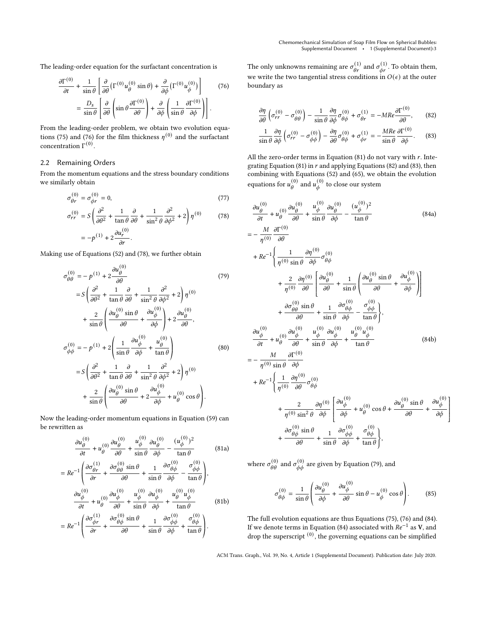The leading-order equation for the surfactant concentration is

$$
\frac{\partial \Gamma^{(0)}}{\partial t} + \frac{1}{\sin \theta} \left[ \frac{\partial}{\partial \theta} \left( \Gamma^{(0)} u_{\theta}^{(0)} \sin \theta \right) + \frac{\partial}{\partial \phi} \left( \Gamma^{(0)} u_{\phi}^{(0)} \right) \right] \tag{76}
$$
\n
$$
= \frac{D_s}{\sin \theta} \left[ \frac{\partial}{\partial \theta} \left( \sin \theta \frac{\partial \Gamma^{(0)}}{\partial \theta} \right) + \frac{\partial}{\partial \phi} \left( \frac{1}{\sin \theta} \frac{\partial \Gamma^{(0)}}{\partial \phi} \right) \right].
$$

From the leading-order problem, we obtain two evolution equa-tions [\(75\)](#page-1-7) and [\(76\)](#page-2-0) for the film thickness  $\eta^{(0)}$  and the surfactant concentration  $Γ^{(0)}$ .

#### 2.2 Remaining Orders

From the momentum equations and the stress boundary conditions we similarly obtain

$$
\sigma_{\theta r}^{(0)} = \sigma_{\phi r}^{(0)} = 0,\tag{77}
$$

$$
\sigma_{rr}^{(0)} = S \left( \frac{\partial^2}{\partial \theta^2} + \frac{1}{\tan \theta} \frac{\partial}{\partial \theta} + \frac{1}{\sin^2 \theta} \frac{\partial^2}{\partial \phi^2} + 2 \right) \eta^{(0)} \tag{78}
$$
\n
$$
= -p^{(1)} + 2 \frac{\partial u_r^{(0)}}{\partial r}.
$$

Making use of Equations [\(52\)](#page-0-1) and [\(78\)](#page-2-1), we further obtain  $(0)$ 

$$
\sigma_{\theta\theta}^{(0)} = -p^{(1)} + 2\frac{\partial u_{\theta}^{(0)}}{\partial \theta}
$$
\n
$$
= S\left(\frac{\partial^2}{\partial \theta^2} + \frac{1}{\tan \theta} \frac{\partial}{\partial \theta} + \frac{1}{\sin^2 \theta} \frac{\partial^2}{\partial \phi^2} + 2\right) \eta^{(0)}
$$
\n
$$
+ \frac{2}{\sin \theta} \left(\frac{\partial u_{\theta}^{(0)} \sin \theta}{\partial \theta} + \frac{\partial u_{\phi}^{(0)}}{\partial \phi}\right) + 2\frac{\partial u_{\theta}^{(0)}}{\partial \theta},
$$
\n
$$
\sigma_{\phi\phi}^{(0)} = -p^{(1)} + 2\left(\frac{1}{\sin \theta} \frac{\partial u_{\phi}^{(0)}}{\partial \phi} + \frac{u_{\theta}^{(0)}}{\tan \theta}\right)
$$
\n
$$
= S\left(\frac{\partial^2}{\partial \theta^2} + \frac{1}{\tan \theta} \frac{\partial}{\partial \theta} + \frac{1}{\sin^2 \theta} \frac{\partial^2}{\partial \phi^2} + 2\right) \eta^{(0)}
$$
\n
$$
+ \frac{2}{\sin \theta} \left(\frac{\partial u_{\theta}^{(0)} \sin \theta}{\partial \theta} + 2\frac{\partial u_{\phi}^{(0)}}{\partial \phi} + u_{\theta}^{(0)} \cos \theta\right).
$$
\n(80)

Now the leading-order momentum equations in Equation [\(59\)](#page-1-0) can be rewritten as

<span id="page-2-2"></span>
$$
\frac{\partial u_{\theta}^{(0)}}{\partial t} + u_{\theta}^{(0)} \frac{\partial u_{\theta}^{(0)}}{\partial \theta} + \frac{u_{\phi}^{(0)}}{\sin \theta} \frac{\partial u_{\theta}^{(0)}}{\partial \phi} - \frac{(u_{\phi}^{(0)})^2}{\tan \theta}
$$
(81a)  

$$
= Re^{-1} \left( \frac{\partial \sigma_{\theta r}^{(1)}}{\partial r} + \frac{\partial \sigma_{\theta \theta}^{(0)} \sin \theta}{\partial \theta} + \frac{1}{\sin \theta} \frac{\partial \sigma_{\theta \phi}^{(0)}}{\partial \phi} - \frac{\sigma_{\phi \phi}^{(0)}}{\tan \theta} \right),
$$

$$
\frac{\partial u_{\phi}^{(0)}}{\partial t} + u_{\theta}^{(0)} \frac{\partial u_{\phi}^{(0)}}{\partial \theta} + \frac{u_{\phi}^{(0)}}{\sin \theta} \frac{\partial u_{\phi}^{(0)}}{\partial \phi} + \frac{u_{\theta}^{(0)} u_{\phi}^{(0)}}{\tan \theta}
$$
(81b)  

$$
= Re^{-1} \left( \frac{\partial \sigma_{\phi r}^{(1)}}{\partial r} + \frac{\partial \sigma_{\theta \phi}^{(0)} \sin \theta}{\partial \theta} + \frac{1}{\sin \theta} \frac{\partial \sigma_{\phi \phi}^{(0)}}{\partial \phi} + \frac{\sigma_{\theta \phi}^{(0)}}{\tan \theta} \right).
$$

<span id="page-2-0"></span>The only unknowns remaining are  $\sigma^{(1)}_{\theta r}$  and  $\sigma^{(1)}_{\phi r}$ . To obtain them, we write the two tangential stress conditions in  $O(\epsilon)$  at the outer boundary as

<span id="page-2-3"></span>
$$
\frac{\partial \eta}{\partial \theta} \left( \sigma_{rr}^{(0)} - \sigma_{\theta\theta}^{(0)} \right) - \frac{1}{\sin\theta} \frac{\partial \eta}{\partial \phi} \sigma_{\theta\phi}^{(0)} + \sigma_{\theta r}^{(1)} = -MRe \frac{\partial \Gamma^{(0)}}{\partial \theta},\tag{82}
$$

<span id="page-2-6"></span><span id="page-2-4"></span>
$$
\frac{1}{\sin\theta} \frac{\partial \eta}{\partial \phi} \left( \sigma_{rr}^{(0)} - \sigma_{\phi\phi}^{(0)} \right) - \frac{\partial \eta}{\partial \theta} \sigma_{\theta\phi}^{(0)} + \sigma_{\phi r}^{(1)} = -\frac{MRe}{\sin\theta} \frac{\partial \Gamma^{(0)}}{\partial \phi}. \tag{83}
$$

All the zero-order terms in Equation  $(81)$  do not vary with  $r$ . Inte-grating Equation [\(81\)](#page-2-2) in  $r$  and applying Equations [\(82\)](#page-2-3) and [\(83\)](#page-2-4), then combining with Equations [\(52\)](#page-0-1) and [\(65\)](#page-1-4), we obtain the evolution equations for  $u_{\theta}^{(0)}$  and  $u_{\phi}^{(0)}$  to close our system

<span id="page-2-5"></span><span id="page-2-1"></span>
$$
\frac{\partial u_{\theta}^{(0)}}{\partial t} + u_{\theta}^{(0)} \frac{\partial u_{\theta}^{(0)}}{\partial \theta} + \frac{u_{\phi}^{(0)}}{\sin \theta} \frac{\partial u_{\theta}^{(0)}}{\partial \phi} - \frac{(u_{\phi}^{(0)})^2}{\tan \theta} \n= -\frac{M}{\eta(0)} \frac{\partial \Gamma^{(0)}}{\partial \theta} \n+ Re^{-1} \left\{ \frac{1}{\eta^{(0)} \sin \theta} \frac{\partial \eta^{(0)}}{\partial \phi} \sigma_{\theta\phi}^{(0)} + \frac{1}{\sin \theta} \left( \frac{\partial u_{\theta}^{(0)} \sin \theta}{\partial \theta} + \frac{\partial u_{\phi}^{(0)}}{\partial \phi} \right) \right\} \n+ \frac{\partial \sigma_{\theta\theta}^{(0)} \sin \theta}{\partial \theta} + \frac{1}{\sin \theta} \frac{\partial \sigma_{\theta\phi}^{(0)}}{\partial \phi} - \frac{\sigma_{\phi\phi}^{(0)}}{\tan \theta} \right\},\n\frac{\partial u_{\phi}^{(0)}}{\partial t} + u_{\theta}^{(0)} \frac{\partial u_{\phi}^{(0)}}{\partial \theta} + u_{\theta}^{(0)} \frac{\partial u_{\phi}^{(0)}}{\partial \phi} + \frac{u_{\theta}^{(0)}}{\sin \theta} \frac{\partial u_{\phi}^{(0)}}{\partial \phi} + \frac{u_{\theta}^{(0)} u_{\phi}^{(0)}}{\tan \theta} \n= -\frac{M}{\eta^{(0)} \sin \theta} \frac{\partial \Gamma^{(0)}}{\partial \phi} \n+ Re^{-1} \left\{ \frac{1}{\eta^{(0)}} \frac{\partial \eta^{(0)}}{\partial \theta} \sigma_{\theta\phi}^{(0)} + \frac{\partial u_{\phi}^{(0)}}{\partial \phi} \frac{\partial u_{\phi}^{(0)}}{\partial \phi} + u_{\theta}^{(0)} \cos \theta + \frac{\partial u_{\theta}^{(0)} \sin \theta}{\partial \theta} + \frac{\partial u_{\phi}^{(0)}}{\partial \phi} \n+ \frac{\partial \sigma_{\theta\phi}^{(0)} \sin \theta}{\partial \theta} + \frac{1}{\sin \theta} \frac{\partial \sigma_{\phi\phi}^{(0)}}{\partial \phi} + u_{\theta}^{(0)} \cos \theta + \frac{\partial u_{\theta}^{(0)} \sin \theta}{\partial \
$$

where  $\sigma_{\theta\theta}^{(0)}$  and  $\sigma_{\phi\phi}^{(0)}$  are given by Equation [\(79\)](#page-2-5), and

$$
\sigma_{\theta\phi}^{(0)} = \frac{1}{\sin\theta} \left( \frac{\partial u_{\theta}^{(0)}}{\partial \phi} + \frac{\partial u_{\phi}^{(0)}}{\partial \theta} \sin\theta - u_{\phi}^{(0)} \cos\theta \right). \tag{85}
$$

l I l l  $\overline{1}$ Í

The full evolution equations are thus Equations [\(75\)](#page-1-7), [\(76\)](#page-2-0) and [\(84\)](#page-2-6). If we denote terms in Equation [\(84\)](#page-2-6) associated with  $Re^{-1}$  as V, and drop the superscript  $^{(0)}$ , the governing equations can be simplified

ACM Trans. Graph., Vol. 39, No. 4, Article 1 (Supplemental Document). Publication date: July 2020.